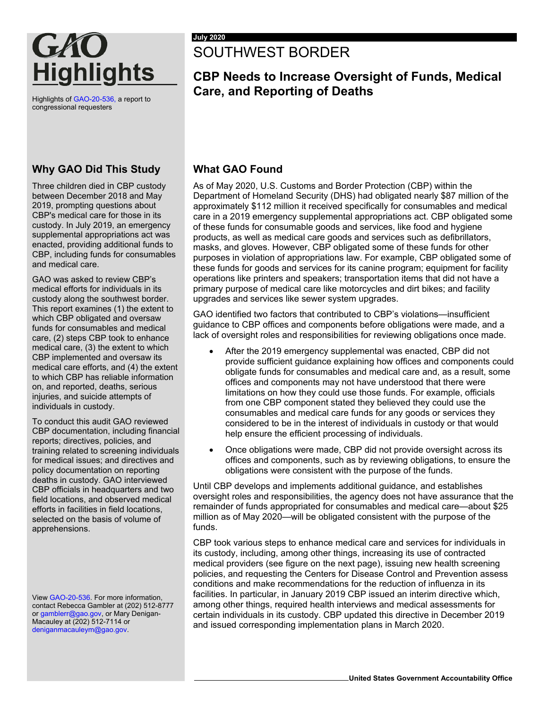

Highlights o[f GAO-20-536,](https://www.gao.gov/products/GAO-20-536) a report to congressional requesters

#### **Why GAO Did This Study**

Three children died in CBP custody between December 2018 and May 2019, prompting questions about CBP's medical care for those in its custody. In July 2019, an emergency supplemental appropriations act was enacted, providing additional funds to CBP, including funds for consumables and medical care.

GAO was asked to review CBP's medical efforts for individuals in its custody along the southwest border. This report examines (1) the extent to which CBP obligated and oversaw funds for consumables and medical care, (2) steps CBP took to enhance medical care, (3) the extent to which CBP implemented and oversaw its medical care efforts, and (4) the extent to which CBP has reliable information on, and reported, deaths, serious injuries, and suicide attempts of individuals in custody.

To conduct this audit GAO reviewed CBP documentation, including financial reports; directives, policies, and training related to screening individuals for medical issues; and directives and policy documentation on reporting deaths in custody. GAO interviewed CBP officials in headquarters and two field locations, and observed medical efforts in facilities in field locations, selected on the basis of volume of apprehensions.

Vie[w GAO-20-536.](https://www.gao.gov/products/GAO-20-536) For more information, contact Rebecca Gambler at (202) 512-8777 o[r gamblerr@gao.gov,](mailto:gamblerr@gao.gov) or Mary Denigan-Macauley at (202) 512-7114 or [deniganmacauleym@gao.gov.](mailto:deniganmacauleym@gao.gov)

# SOUTHWEST BORDER

## **CBP Needs to Increase Oversight of Funds, Medical Care, and Reporting of Deaths**

#### **What GAO Found**

As of May 2020, U.S. Customs and Border Protection (CBP) within the Department of Homeland Security (DHS) had obligated nearly \$87 million of the approximately \$112 million it received specifically for consumables and medical care in a 2019 emergency supplemental appropriations act. CBP obligated some of these funds for consumable goods and services, like food and hygiene products, as well as medical care goods and services such as defibrillators, masks, and gloves. However, CBP obligated some of these funds for other purposes in violation of appropriations law. For example, CBP obligated some of these funds for goods and services for its canine program; equipment for facility operations like printers and speakers; transportation items that did not have a primary purpose of medical care like motorcycles and dirt bikes; and facility upgrades and services like sewer system upgrades.

GAO identified two factors that contributed to CBP's violations—insufficient guidance to CBP offices and components before obligations were made, and a lack of oversight roles and responsibilities for reviewing obligations once made.

- After the 2019 emergency supplemental was enacted, CBP did not provide sufficient guidance explaining how offices and components could obligate funds for consumables and medical care and, as a result, some offices and components may not have understood that there were limitations on how they could use those funds. For example, officials from one CBP component stated they believed they could use the consumables and medical care funds for any goods or services they considered to be in the interest of individuals in custody or that would help ensure the efficient processing of individuals.
- Once obligations were made, CBP did not provide oversight across its offices and components, such as by reviewing obligations, to ensure the obligations were consistent with the purpose of the funds.

Until CBP develops and implements additional guidance, and establishes oversight roles and responsibilities, the agency does not have assurance that the remainder of funds appropriated for consumables and medical care—about \$25 million as of May 2020—will be obligated consistent with the purpose of the funds.

CBP took various steps to enhance medical care and services for individuals in its custody, including, among other things, increasing its use of contracted medical providers (see figure on the next page), issuing new health screening policies, and requesting the Centers for Disease Control and Prevention assess conditions and make recommendations for the reduction of influenza in its facilities. In particular, in January 2019 CBP issued an interim directive which, among other things, required health interviews and medical assessments for certain individuals in its custody. CBP updated this directive in December 2019 and issued corresponding implementation plans in March 2020.